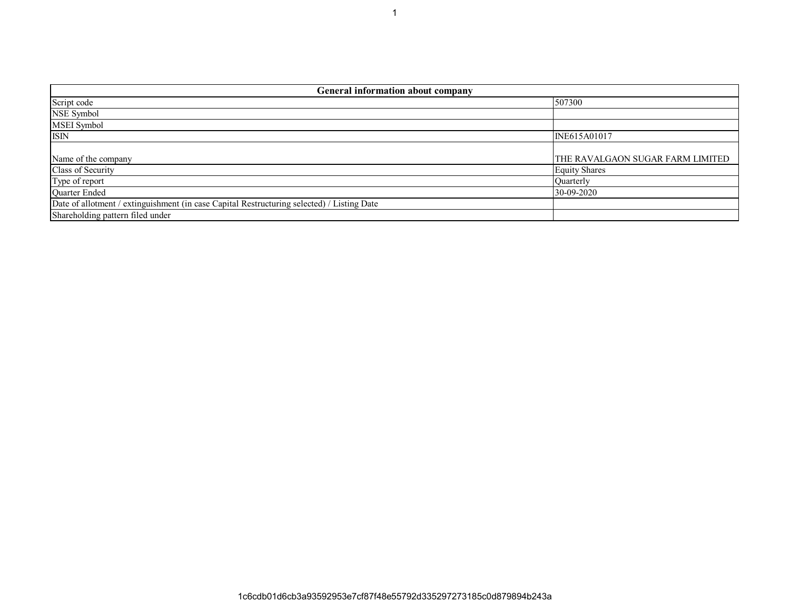| <b>General information about company</b>                                                   |                                  |  |  |  |  |  |  |  |  |  |
|--------------------------------------------------------------------------------------------|----------------------------------|--|--|--|--|--|--|--|--|--|
| Script code                                                                                | 507300                           |  |  |  |  |  |  |  |  |  |
| <b>NSE Symbol</b>                                                                          |                                  |  |  |  |  |  |  |  |  |  |
| MSEI Symbol                                                                                |                                  |  |  |  |  |  |  |  |  |  |
| <b>ISIN</b>                                                                                | INE615A01017                     |  |  |  |  |  |  |  |  |  |
|                                                                                            |                                  |  |  |  |  |  |  |  |  |  |
| Name of the company                                                                        | THE RAVALGAON SUGAR FARM LIMITED |  |  |  |  |  |  |  |  |  |
| Class of Security                                                                          | <b>Equity Shares</b>             |  |  |  |  |  |  |  |  |  |
| Type of report                                                                             | Quarterly                        |  |  |  |  |  |  |  |  |  |
| Quarter Ended                                                                              | 30-09-2020                       |  |  |  |  |  |  |  |  |  |
| Date of allotment / extinguishment (in case Capital Restructuring selected) / Listing Date |                                  |  |  |  |  |  |  |  |  |  |
| Shareholding pattern filed under                                                           |                                  |  |  |  |  |  |  |  |  |  |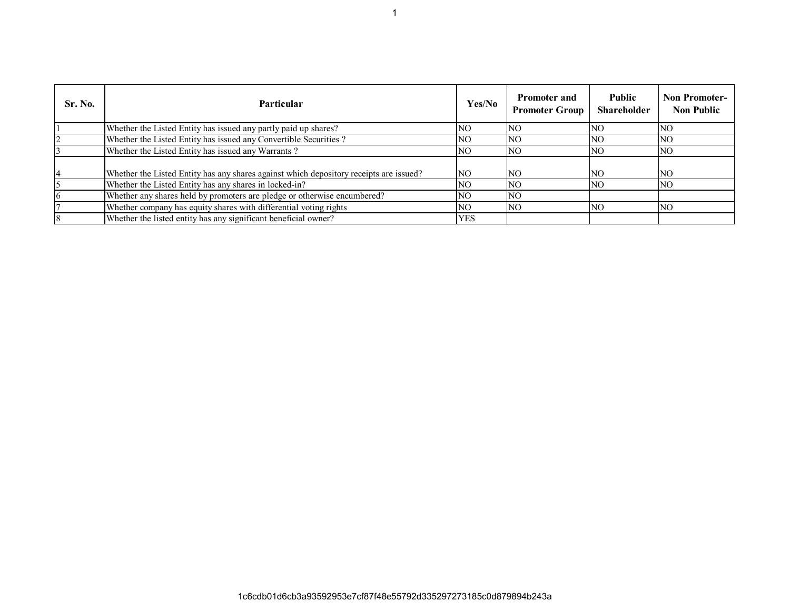| <b>Sr. No.</b> | <b>Particular</b>                                                                      | Yes/No     | <b>Promoter and</b><br><b>Promoter Group</b> | <b>Public</b><br>Shareholder | <b>Non Promoter-</b><br><b>Non Public</b> |
|----------------|----------------------------------------------------------------------------------------|------------|----------------------------------------------|------------------------------|-------------------------------------------|
|                | Whether the Listed Entity has issued any partly paid up shares?                        | NO.        | <b>NO</b>                                    | <b>NO</b>                    | <b>NO</b>                                 |
|                | Whether the Listed Entity has issued any Convertible Securities?                       | NO.        | NO.                                          | NO.                          | <b>NO</b>                                 |
|                | Whether the Listed Entity has issued any Warrants?                                     | NO.        | <b>NO</b>                                    | NO.                          | NO.                                       |
|                | Whether the Listed Entity has any shares against which depository receipts are issued? | NO.        | NO                                           | NO.                          | <b>NO</b>                                 |
|                | Whether the Listed Entity has any shares in locked-in?                                 | NO.        | NO.                                          | NO.                          | NO.                                       |
|                | Whether any shares held by promoters are pledge or otherwise encumbered?               | NO.        | NO.                                          |                              |                                           |
|                | Whether company has equity shares with differential voting rights                      | NO.        | <b>NO</b>                                    | <b>NO</b>                    | NO.                                       |
|                | Whether the listed entity has any significant beneficial owner?                        | <b>YES</b> |                                              |                              |                                           |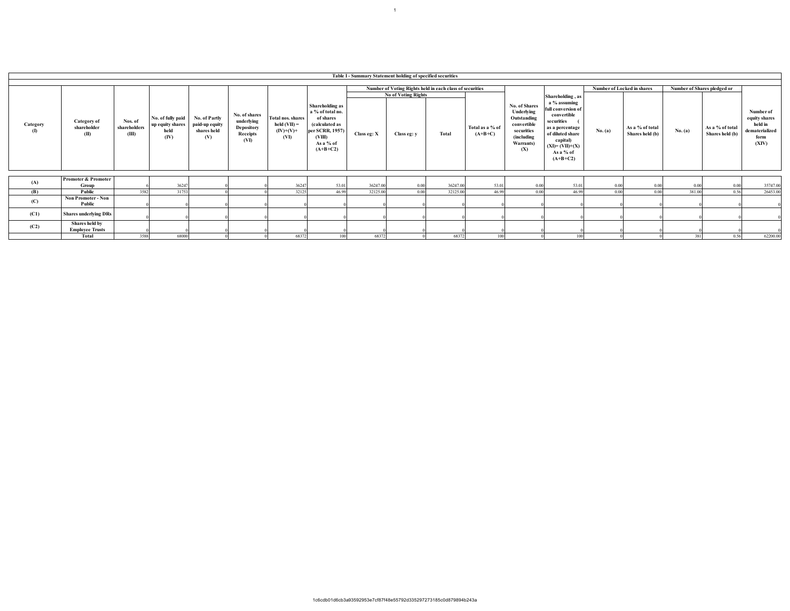|                   |                                          |                                  |                                                       |                                                       |                                                               |                                                                         |                                                                                                                            | Table I - Summary Statement holding of specified securities |                                                          |          |                              |                                                                                                           |                                                                                                                                                                  |                            |                                    |                                                                           |                                              |          |
|-------------------|------------------------------------------|----------------------------------|-------------------------------------------------------|-------------------------------------------------------|---------------------------------------------------------------|-------------------------------------------------------------------------|----------------------------------------------------------------------------------------------------------------------------|-------------------------------------------------------------|----------------------------------------------------------|----------|------------------------------|-----------------------------------------------------------------------------------------------------------|------------------------------------------------------------------------------------------------------------------------------------------------------------------|----------------------------|------------------------------------|---------------------------------------------------------------------------|----------------------------------------------|----------|
|                   |                                          |                                  |                                                       |                                                       |                                                               |                                                                         |                                                                                                                            |                                                             |                                                          |          |                              |                                                                                                           |                                                                                                                                                                  |                            |                                    |                                                                           |                                              |          |
|                   |                                          |                                  |                                                       |                                                       |                                                               |                                                                         |                                                                                                                            |                                                             | Number of Voting Rights held in each class of securities |          |                              |                                                                                                           |                                                                                                                                                                  | Number of Locked in shares |                                    | Number of Shares pledged or                                               |                                              |          |
|                   |                                          |                                  |                                                       |                                                       |                                                               |                                                                         |                                                                                                                            |                                                             | <b>No of Voting Rights</b>                               |          |                              |                                                                                                           | Shareholding, as                                                                                                                                                 |                            |                                    |                                                                           |                                              |          |
| Category<br>$($ I | Category of<br>shareholder<br>(II)       | Nos. of<br>shareholders<br>(III) | No. of fully paid<br>up equity shares<br>held<br>(IV) | No. of Partly<br>paid-up equity<br>shares held<br>(V) | No. of shares<br>underlying<br>Depository<br>Receipts<br>(VI) | Total nos. shares<br>$\text{held}(\text{VII}) =$<br>$(IV)+(V)+$<br>(VI) | Shareholding as<br>a % of total no.<br>of shares<br>(calculated as<br>per SCRR, 1957)<br>(VIII)<br>As a % of<br>$(A+B+C2)$ | Class eg: X                                                 | Class eg: y                                              | Total    | Total as a % of<br>$(A+B+C)$ | No. of Shares<br>Underlying<br>Outstanding<br>convertible<br>securities<br>(including<br>Warrants)<br>(X) | a % assuming<br>ull conversion of<br>convertible<br>securities<br>as a percentage<br>of diluted share<br>capital)<br>$(XI)=(VII)+(X)$<br>As a % of<br>$(A+B+C2)$ | No. (a)                    | As a % of total<br>Shares held (b) | held in<br>As a % of total<br>No. (a)<br>Shares held (b)<br>form<br>(XIV) | Number of<br>equity shares<br>dematerialized |          |
|                   |                                          |                                  |                                                       |                                                       |                                                               |                                                                         |                                                                                                                            |                                                             |                                                          |          |                              |                                                                                                           |                                                                                                                                                                  |                            |                                    |                                                                           |                                              |          |
| (A)               | Promoter & Promoter                      |                                  |                                                       |                                                       |                                                               |                                                                         |                                                                                                                            |                                                             |                                                          |          |                              |                                                                                                           |                                                                                                                                                                  |                            |                                    |                                                                           |                                              |          |
|                   | Group                                    |                                  | 36247                                                 |                                                       |                                                               | 36247                                                                   | 53.01                                                                                                                      | 36247.00                                                    | 0.00                                                     | 36247.00 | 53.01                        | 0.00                                                                                                      | 53.01                                                                                                                                                            | 0.00                       | 0.00                               | 0.0                                                                       | 0.00                                         | 35747.00 |
| (B)               | Public                                   | 3582                             | 31753                                                 |                                                       |                                                               | 32125                                                                   | 46.99                                                                                                                      | 32125.00                                                    | 0.00                                                     | 32125.00 | 46.99                        | 0.00                                                                                                      | 46.99                                                                                                                                                            | 0.00                       | 0.00                               | 381.0                                                                     | 0.56                                         | 26453.00 |
| (C)               | Non Promoter - Non<br>Public             |                                  |                                                       |                                                       |                                                               |                                                                         |                                                                                                                            |                                                             |                                                          |          |                              |                                                                                                           |                                                                                                                                                                  |                            |                                    |                                                                           |                                              |          |
| (C1)              | <b>Shares underlying DRs</b>             |                                  |                                                       |                                                       |                                                               |                                                                         |                                                                                                                            |                                                             |                                                          |          |                              |                                                                                                           |                                                                                                                                                                  |                            |                                    |                                                                           |                                              |          |
| (C2)              | Shares held by<br><b>Employee Trusts</b> |                                  |                                                       |                                                       |                                                               |                                                                         |                                                                                                                            |                                                             |                                                          |          |                              |                                                                                                           |                                                                                                                                                                  |                            |                                    |                                                                           |                                              |          |
|                   | Total                                    | 3588                             | 68000                                                 |                                                       |                                                               | 68372                                                                   | 100                                                                                                                        | 68372                                                       |                                                          | 68372    | 100                          |                                                                                                           | 100                                                                                                                                                              |                            |                                    | 381                                                                       | 0.56                                         | 62200.00 |

1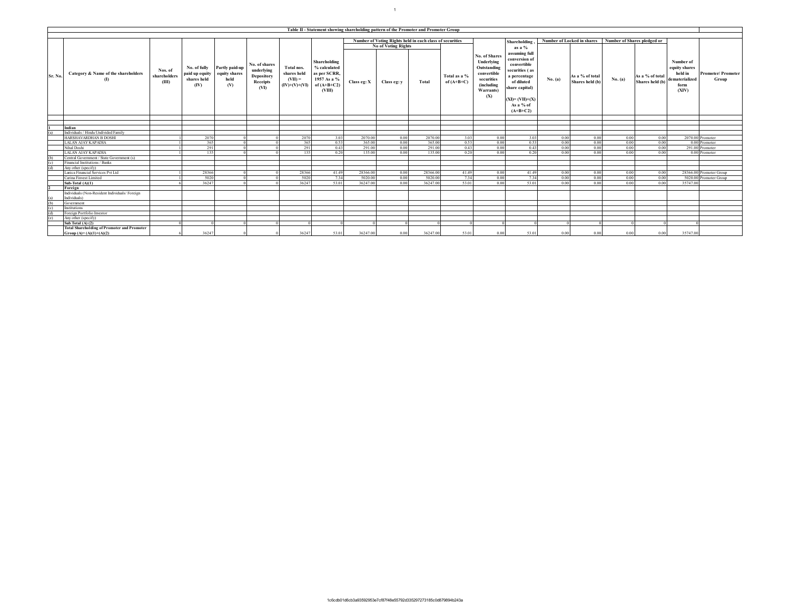|                |                                                                                 |                                  |                                                       |                                                |                                                               |                                                           | Table II - Statement showing shareholding pattern of the Promoter and Promoter Group |                                                          |                            |          |                              |                                                                     |                                                                               |                                                           |                                    |              |                                    |                                                                                                  |
|----------------|---------------------------------------------------------------------------------|----------------------------------|-------------------------------------------------------|------------------------------------------------|---------------------------------------------------------------|-----------------------------------------------------------|--------------------------------------------------------------------------------------|----------------------------------------------------------|----------------------------|----------|------------------------------|---------------------------------------------------------------------|-------------------------------------------------------------------------------|-----------------------------------------------------------|------------------------------------|--------------|------------------------------------|--------------------------------------------------------------------------------------------------|
|                |                                                                                 |                                  |                                                       |                                                |                                                               |                                                           |                                                                                      |                                                          |                            |          |                              |                                                                     |                                                                               |                                                           |                                    |              |                                    |                                                                                                  |
|                |                                                                                 |                                  |                                                       |                                                |                                                               |                                                           |                                                                                      | Number of Voting Rights held in each class of securities |                            |          |                              |                                                                     | <b>Shareholding</b>                                                           | Number of Locked in shares<br>Number of Shares pledged or |                                    |              |                                    |                                                                                                  |
|                |                                                                                 |                                  |                                                       |                                                |                                                               |                                                           |                                                                                      |                                                          | <b>No of Voting Rights</b> |          |                              |                                                                     | as a %                                                                        |                                                           |                                    |              |                                    |                                                                                                  |
|                |                                                                                 |                                  |                                                       |                                                |                                                               |                                                           | Shareholding                                                                         |                                                          |                            |          |                              | No. of Shares<br>Underlying                                         | assuming full<br>conversion of                                                |                                                           |                                    |              |                                    | Number of                                                                                        |
| Sr. No.        | Category & Name of the shareholders<br>$\mathbf{r}$                             | Nos. of<br>shareholders<br>(III) | No. of fully<br>paid up equity<br>shares held<br>(IV) | Partly paid-up<br>equity shares<br>held<br>(V) | No. of shares<br>underlying<br>Depository<br>Receipts<br>(VI) | Total nos.<br>shares held<br>$(VII) =$<br>$(IV)+(V)+(VI)$ | % calculated<br>as per SCRR,<br>1957 As a %<br>of $(A+B+C2)$<br>(VIII)               | Class eg: X                                              | Class eg: v                | Total    | Total as a %<br>of $(A+B+C)$ | Outstanding<br>convertible<br>securities<br>(including<br>Warrants) | convertible<br>securities (as<br>a percentage<br>of diluted<br>share capital) | No. (a)                                                   | As a % of total<br>Shares held (b) | No. (a)      | As a % of total<br>Shares held (b) | equity shares<br>held in<br><b>Promoter/Promoter</b><br>dematerialized<br>Group<br>form<br>(XIV) |
|                |                                                                                 |                                  |                                                       |                                                |                                                               |                                                           |                                                                                      |                                                          |                            |          |                              | (X)                                                                 | $(XI)=(VII)+(X)$<br>As a % of<br>$(A+B+C2)$                                   |                                                           |                                    |              |                                    |                                                                                                  |
|                |                                                                                 |                                  |                                                       |                                                |                                                               |                                                           |                                                                                      |                                                          |                            |          |                              |                                                                     |                                                                               |                                                           |                                    |              |                                    |                                                                                                  |
|                |                                                                                 |                                  |                                                       |                                                |                                                               |                                                           |                                                                                      |                                                          |                            |          |                              |                                                                     |                                                                               |                                                           |                                    |              |                                    |                                                                                                  |
|                | Indian<br>Individuals / Hindu Undivided Family                                  |                                  |                                                       |                                                |                                                               |                                                           |                                                                                      |                                                          |                            |          |                              |                                                                     |                                                                               |                                                           |                                    |              |                                    |                                                                                                  |
| (a)            | HARSHAVARDHAN B DOSHI                                                           |                                  | 2070                                                  |                                                |                                                               | 2070                                                      | 3.03                                                                                 | 2070.00                                                  |                            | 2070.00  | 3.03                         |                                                                     |                                                                               |                                                           | 0.00                               |              |                                    | 2070.00 Promoter                                                                                 |
|                |                                                                                 |                                  | 365                                                   |                                                |                                                               |                                                           | 0.53                                                                                 | 365.00                                                   | 0.00<br>0.00               | 365.00   | 0.53                         | 0.00<br>0.00                                                        | 3.03<br>0.53                                                                  | 0.00<br>0.00                                              | 0.00                               | 0.00<br>0.00 | 0.00<br>0.00                       | 0.00 Promoter                                                                                    |
|                | <b>LALAN AJAY KAPADIA</b><br>Nihal Doshi                                        |                                  | 291                                                   |                                                |                                                               | 365<br>291                                                | 0.43                                                                                 | 291.00                                                   | 0.00                       | 291.00   | 0.43                         | 0.00                                                                | 0.43                                                                          | 0.00                                                      | 0.00                               | 0.00         | 0.00                               | 291.00 Promoter                                                                                  |
|                | LALAN AJAY KAPADIA                                                              |                                  |                                                       |                                                |                                                               | 135                                                       | 0.20                                                                                 | 135.00                                                   | 0.00                       | 135.00   | 0.20                         | 0.00                                                                | 0.20                                                                          |                                                           | 0.00                               | 0.00         | 0.00                               | 0.00 Promoter                                                                                    |
|                |                                                                                 |                                  | 135                                                   |                                                |                                                               |                                                           |                                                                                      |                                                          |                            |          |                              |                                                                     |                                                                               | 0.00                                                      |                                    |              |                                    |                                                                                                  |
| (h)<br>(c)     | Central Government / State Government (s)<br>Financial Institutions / Banks     |                                  |                                                       |                                                |                                                               |                                                           |                                                                                      |                                                          |                            |          |                              |                                                                     |                                                                               |                                                           |                                    |              |                                    |                                                                                                  |
| $\overline{d}$ | Any other (specify)                                                             |                                  |                                                       |                                                |                                                               |                                                           |                                                                                      |                                                          |                            |          |                              |                                                                     |                                                                               |                                                           |                                    |              |                                    |                                                                                                  |
|                | Lanica Financial Services Pvt Ltd                                               |                                  | 28366                                                 |                                                |                                                               | 28366                                                     | 41.49                                                                                | 28366.00                                                 | 0.00                       | 28366.00 | 41.49                        | 0.00                                                                | 41.49                                                                         | 0.00                                                      | 0.00                               | 0.00         | 0.00                               | 28366.00 Promoter Group                                                                          |
|                | Carina Finvest Limited                                                          |                                  | 5020                                                  |                                                |                                                               | 5020                                                      | 7.34                                                                                 | 5020.00                                                  | 0.00                       | 5020.00  | 7.34                         | 0.00                                                                | 7.34                                                                          |                                                           | 0.00                               | 0.00         | 0.00                               | 5020.00 Promoter Group                                                                           |
|                |                                                                                 |                                  |                                                       |                                                |                                                               |                                                           |                                                                                      |                                                          |                            |          |                              |                                                                     |                                                                               | 0.00                                                      |                                    |              |                                    |                                                                                                  |
|                | Sub-Total $(A)(1)$                                                              |                                  | 36247                                                 |                                                |                                                               | 36247                                                     | 53.01                                                                                | 36247.00                                                 | 0.00                       | 36247.00 | 53.01                        | 0.00                                                                | 53.01                                                                         | 0.00                                                      | 0.00                               | 0.00         | 0.00                               | 35747.00                                                                                         |
|                | Foreign                                                                         |                                  |                                                       |                                                |                                                               |                                                           |                                                                                      |                                                          |                            |          |                              |                                                                     |                                                                               |                                                           |                                    |              |                                    |                                                                                                  |
| (a)            | Individuals (Non-Resident Individuals/Foreign<br>Individuals)                   |                                  |                                                       |                                                |                                                               |                                                           |                                                                                      |                                                          |                            |          |                              |                                                                     |                                                                               |                                                           |                                    |              |                                    |                                                                                                  |
| (b)            | Government                                                                      |                                  |                                                       |                                                |                                                               |                                                           |                                                                                      |                                                          |                            |          |                              |                                                                     |                                                                               |                                                           |                                    |              |                                    |                                                                                                  |
| (c)            | Institutions                                                                    |                                  |                                                       |                                                |                                                               |                                                           |                                                                                      |                                                          |                            |          |                              |                                                                     |                                                                               |                                                           |                                    |              |                                    |                                                                                                  |
| (d)            | Foreign Portfolio Investor                                                      |                                  |                                                       |                                                |                                                               |                                                           |                                                                                      |                                                          |                            |          |                              |                                                                     |                                                                               |                                                           |                                    |              |                                    |                                                                                                  |
| (e)            | Any other (specify)                                                             |                                  |                                                       |                                                |                                                               |                                                           |                                                                                      |                                                          |                            |          |                              |                                                                     |                                                                               |                                                           |                                    |              |                                    |                                                                                                  |
|                | Sub Total (A) (2)                                                               |                                  |                                                       |                                                |                                                               |                                                           |                                                                                      |                                                          |                            |          |                              |                                                                     |                                                                               |                                                           |                                    |              |                                    |                                                                                                  |
|                | <b>Total Shareholding of Promoter and Promoter</b><br>Group $(A)=(A)(1)+(A)(2)$ |                                  | 36247                                                 |                                                |                                                               | 36247                                                     | 53.01                                                                                | 36247.00                                                 | 0.00                       | 36247.00 | 53.01                        | 0.00                                                                | 53.01                                                                         | 0.00                                                      | 0.00                               | 0.00         | 0.00                               | 35747.00                                                                                         |

 $11 - 1$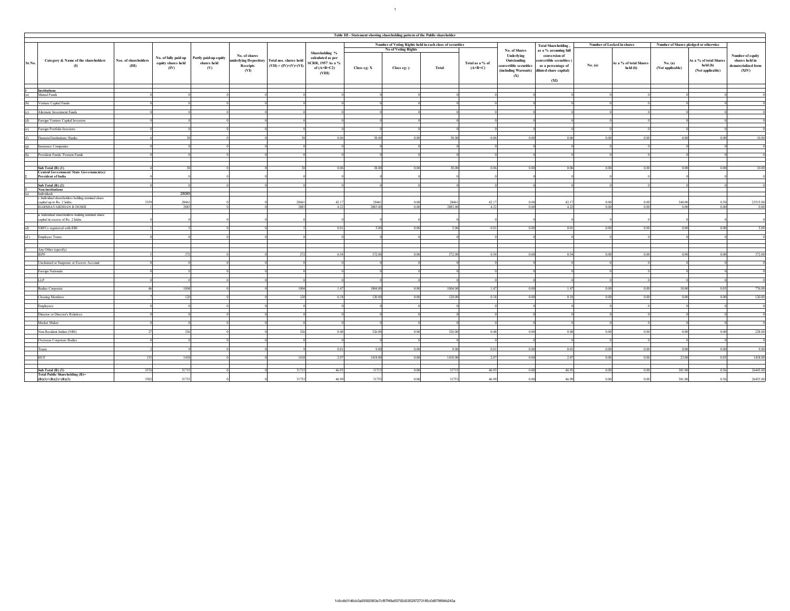|                    | Table III - Statement showing shareholding pattern of the Public shareholder           |                                                    |                                                                                  |                                                                         |                                                                                     |                 |                     |                                                          |                              |                                                                                                           |                                                                                              |         |                                    |                                       |                                                        |                                                                    |
|--------------------|----------------------------------------------------------------------------------------|----------------------------------------------------|----------------------------------------------------------------------------------|-------------------------------------------------------------------------|-------------------------------------------------------------------------------------|-----------------|---------------------|----------------------------------------------------------|------------------------------|-----------------------------------------------------------------------------------------------------------|----------------------------------------------------------------------------------------------|---------|------------------------------------|---------------------------------------|--------------------------------------------------------|--------------------------------------------------------------------|
|                    |                                                                                        |                                                    |                                                                                  |                                                                         |                                                                                     |                 |                     |                                                          |                              |                                                                                                           |                                                                                              |         |                                    |                                       |                                                        |                                                                    |
|                    |                                                                                        |                                                    |                                                                                  |                                                                         |                                                                                     |                 | No of Voting Rights | Number of Voting Rights held in each class of securities |                              | No. of Shares                                                                                             | <b>Total Shareholding</b> ,                                                                  |         | Number of Locked in shares         | Number of Shares pledged or otherwise |                                                        |                                                                    |
| Sr.No.             | Nos. of shareholders<br>Category & Name of the shareholders<br>(III)<br>(1)            | No. of fully paid up<br>equity shares held<br>(IV) | No. of shares<br>Partly paid-up equity<br>shares held<br>Receipts<br>(V)<br>(VI) | underlying Depository Total nos. shares held<br>$(VII) = (IV)+(V)+(VI)$ | Shareholding %<br>calculated as per<br>SCRR, 1957 As a %<br>of $(A+B+C2)$<br>(VIII) | Class eg: X     | Class eg: y         | Total                                                    | Total as a % of<br>$(A+B+C)$ | Underlying<br>Outstanding<br>convertible securities<br>(including Warrants) diluted share capital)<br>(X) | as a % assuming full<br>conversion of<br>onvertible securities<br>as a percentage of<br>(XI) | No. (a) | As a % of total Shares<br>held (b) | No. (a)<br>(Not applicable)           | As a % of total Shares<br>held (b)<br>(Not applicable) | Number of equity<br>shares held in<br>dematerialized form<br>(XIV) |
|                    | <b>Institutions</b>                                                                    |                                                    |                                                                                  |                                                                         |                                                                                     |                 |                     |                                                          |                              |                                                                                                           |                                                                                              |         |                                    |                                       |                                                        |                                                                    |
|                    | Mutual Funds                                                                           |                                                    |                                                                                  |                                                                         |                                                                                     |                 |                     |                                                          |                              |                                                                                                           |                                                                                              |         |                                    |                                       |                                                        |                                                                    |
| (b)                | Venture Capital Funds                                                                  |                                                    |                                                                                  |                                                                         |                                                                                     |                 |                     |                                                          |                              |                                                                                                           |                                                                                              |         |                                    |                                       |                                                        |                                                                    |
|                    |                                                                                        |                                                    |                                                                                  |                                                                         |                                                                                     |                 |                     |                                                          |                              |                                                                                                           |                                                                                              |         |                                    |                                       |                                                        |                                                                    |
|                    | (c) Alternate Investment Funds                                                         |                                                    |                                                                                  |                                                                         |                                                                                     |                 |                     |                                                          |                              |                                                                                                           |                                                                                              |         |                                    |                                       |                                                        |                                                                    |
|                    | (d) Foreign Venture Capital Investors                                                  |                                                    |                                                                                  |                                                                         |                                                                                     |                 |                     |                                                          |                              |                                                                                                           |                                                                                              |         |                                    |                                       |                                                        |                                                                    |
|                    | (e) Foreign Portfolio Investors                                                        |                                                    |                                                                                  |                                                                         |                                                                                     |                 |                     |                                                          |                              |                                                                                                           |                                                                                              |         |                                    |                                       |                                                        |                                                                    |
| $\overline{f}$     | Financial Institutions/ Banks                                                          |                                                    |                                                                                  |                                                                         | 0.06                                                                                | 38.00           | 000                 | 38.00                                                    | 0.06                         | 0.00                                                                                                      | 0.06                                                                                         | 0.00    | 0.00                               | 0.00                                  | 0.00                                                   | 10.00                                                              |
|                    |                                                                                        |                                                    |                                                                                  |                                                                         |                                                                                     |                 |                     |                                                          |                              |                                                                                                           |                                                                                              |         |                                    |                                       |                                                        |                                                                    |
| $\left( 2 \right)$ | Insurance Companies                                                                    |                                                    |                                                                                  |                                                                         |                                                                                     |                 |                     |                                                          |                              |                                                                                                           |                                                                                              |         |                                    |                                       |                                                        |                                                                    |
| (h)                | Provident Funds/ Pension Funds                                                         |                                                    |                                                                                  |                                                                         |                                                                                     |                 |                     |                                                          |                              |                                                                                                           |                                                                                              |         |                                    |                                       |                                                        |                                                                    |
|                    |                                                                                        |                                                    |                                                                                  |                                                                         |                                                                                     |                 |                     |                                                          |                              |                                                                                                           |                                                                                              |         |                                    |                                       |                                                        | 10.00                                                              |
|                    | Sub Total (B) (1)<br>Central Government/ State Government(s)/                          |                                                    |                                                                                  |                                                                         | 0.06                                                                                | 38.00           |                     | 38.00                                                    | 0.06                         | 0.00                                                                                                      | 0.06                                                                                         | 0.00    | 0.00                               |                                       | 0.00                                                   |                                                                    |
|                    | President of India                                                                     |                                                    |                                                                                  |                                                                         |                                                                                     |                 |                     |                                                          |                              |                                                                                                           |                                                                                              |         |                                    |                                       |                                                        |                                                                    |
|                    | Sub Total $(B)$ $(2)$                                                                  |                                                    |                                                                                  |                                                                         |                                                                                     |                 |                     |                                                          |                              |                                                                                                           |                                                                                              |         |                                    |                                       |                                                        |                                                                    |
|                    | Non-institutions<br>Individuals                                                        | 28089                                              |                                                                                  |                                                                         |                                                                                     |                 |                     |                                                          |                              |                                                                                                           |                                                                                              |         |                                    |                                       |                                                        |                                                                    |
|                    | i. Individual shareholders holding nominal share                                       |                                                    |                                                                                  |                                                                         |                                                                                     |                 |                     |                                                          |                              |                                                                                                           |                                                                                              |         |                                    |                                       |                                                        |                                                                    |
|                    | 3350<br>capital up to Rs. 2 lakhs<br>HARSHAVARDHAN B DOSHI                             | 28461<br>2883                                      |                                                                                  | 2846<br>2883                                                            | 42.1<br>4.22                                                                        | 2846<br>2883.00 | 000<br>0.00         | 2883.00                                                  | 42.1<br>4.22                 | 0.0<br>0.00                                                                                               | 421<br>4.22                                                                                  | 0.00    | 0.00<br>0.00                       | 340.00<br>0.00                        | 0.50<br>0.00                                           | 23515.0<br>0.00                                                    |
|                    |                                                                                        |                                                    |                                                                                  |                                                                         |                                                                                     |                 |                     |                                                          |                              |                                                                                                           |                                                                                              |         |                                    |                                       |                                                        |                                                                    |
|                    | ii. Individual shareholders holding nominal share<br>capital in excess of Rs. 2 lakhs. |                                                    |                                                                                  |                                                                         |                                                                                     |                 |                     |                                                          |                              |                                                                                                           |                                                                                              |         |                                    |                                       |                                                        |                                                                    |
| (d)                | NBFCs registered with RBI                                                              |                                                    |                                                                                  |                                                                         | 0.01                                                                                | 5.00            | 000                 | 5.00                                                     | 0.01                         | 0.00                                                                                                      | 0.01                                                                                         | 0.00    | 0.00                               | 0.00                                  | 0.00                                                   | 5.00                                                               |
| (d)                | Employee Trusts                                                                        |                                                    |                                                                                  |                                                                         |                                                                                     |                 |                     |                                                          |                              |                                                                                                           |                                                                                              |         |                                    |                                       |                                                        |                                                                    |
|                    |                                                                                        |                                                    |                                                                                  |                                                                         |                                                                                     |                 |                     |                                                          |                              |                                                                                                           |                                                                                              |         |                                    |                                       |                                                        |                                                                    |
|                    | Any Other (specify)                                                                    |                                                    |                                                                                  |                                                                         |                                                                                     |                 |                     |                                                          |                              |                                                                                                           |                                                                                              |         |                                    |                                       |                                                        |                                                                    |
|                    | <b>IEPF</b>                                                                            | 372                                                |                                                                                  |                                                                         | 0.54                                                                                | 372.00          | 0.00                | 372.00                                                   | 0.54                         | 0.00                                                                                                      | 0.54                                                                                         | 0.00    | 0.00                               | 0.00                                  | 0.00                                                   | 372.00                                                             |
|                    | Unclaimed or Suspense or Escrow Account                                                |                                                    |                                                                                  |                                                                         |                                                                                     |                 |                     |                                                          |                              |                                                                                                           |                                                                                              |         |                                    |                                       |                                                        |                                                                    |
|                    | Foreign Nationals                                                                      |                                                    |                                                                                  |                                                                         |                                                                                     |                 |                     |                                                          |                              |                                                                                                           |                                                                                              |         |                                    |                                       |                                                        |                                                                    |
|                    | <b>LLP</b>                                                                             |                                                    |                                                                                  |                                                                         |                                                                                     |                 |                     |                                                          |                              |                                                                                                           |                                                                                              |         |                                    |                                       |                                                        |                                                                    |
|                    |                                                                                        | 1004<br>46                                         |                                                                                  | 1004                                                                    | 1.47                                                                                | 1004.00         | 0.00                | 1004.00                                                  | 1.47                         | 0.00                                                                                                      | 1.47                                                                                         | 0.00    | 0.00                               | 18.00                                 | 0.03                                                   | 776.00                                                             |
|                    | <b>Bodies Corporate</b>                                                                |                                                    |                                                                                  |                                                                         |                                                                                     |                 |                     |                                                          |                              |                                                                                                           |                                                                                              |         |                                    |                                       |                                                        |                                                                    |
|                    | Clearing Members                                                                       | 120                                                |                                                                                  | 120                                                                     | 0.18                                                                                | 120.00          | 0.00                | 120.00                                                   | 0.18                         | 0.00                                                                                                      | 0.18                                                                                         | 0.00    | 0.00                               | 0.00                                  | 0.00                                                   | 120.00                                                             |
|                    | Employees                                                                              |                                                    |                                                                                  |                                                                         |                                                                                     |                 |                     |                                                          |                              |                                                                                                           |                                                                                              |         |                                    |                                       |                                                        |                                                                    |
|                    | Director or Director's Relatives                                                       |                                                    |                                                                                  |                                                                         |                                                                                     |                 |                     |                                                          |                              |                                                                                                           |                                                                                              |         |                                    |                                       |                                                        |                                                                    |
|                    | Market Maker                                                                           |                                                    |                                                                                  |                                                                         |                                                                                     |                 |                     |                                                          |                              |                                                                                                           |                                                                                              |         |                                    |                                       |                                                        |                                                                    |
|                    | Non-Resident Indian (NRI)                                                              | 326                                                |                                                                                  | 326                                                                     | 0.48                                                                                | 326.00          | 0.00                | 326.00                                                   | 0.48                         | 0.00                                                                                                      | 0.48                                                                                         | 0.00    | 0.00                               | 0.00                                  | 0.00                                                   | 228.00                                                             |
|                    | Overseas Corporate Bodies                                                              |                                                    |                                                                                  |                                                                         |                                                                                     |                 |                     |                                                          |                              |                                                                                                           |                                                                                              |         |                                    |                                       |                                                        |                                                                    |
|                    | Trusts                                                                                 |                                                    |                                                                                  |                                                                         | 0.01                                                                                | 90              | 000                 | 9.00                                                     | 0.01                         | 0.00                                                                                                      | 0.01                                                                                         | 0.00    | 0.00                               | 0.00                                  | 0.00                                                   | 9.00                                                               |
|                    |                                                                                        |                                                    |                                                                                  |                                                                         |                                                                                     |                 |                     |                                                          |                              |                                                                                                           |                                                                                              |         |                                    |                                       |                                                        | 1418.00                                                            |
|                    | <b>HUF</b><br>133                                                                      | 1418                                               |                                                                                  | 1418                                                                    | 2.07                                                                                | 1418.00         | 0.00                | 1418.00                                                  | 2.07                         | 0.00                                                                                                      | 2.07                                                                                         | 0.00    | 0.00                               | 23.00                                 | 0.03                                                   |                                                                    |
|                    | Sub Total $(B)$ $(3)$<br>3576                                                          | 31715                                              |                                                                                  | 31715                                                                   | 46.93                                                                               | 31715           | 0.00                | 31715                                                    | 46.93                        | 0.00                                                                                                      | 46.93                                                                                        | 0.00    | 0.00                               | 381.00                                | 0.56                                                   | 26443.00                                                           |
|                    | Total Public Shareholding (B)-<br>$(B)(1)+(B)(2)+(B)(3)$<br>3582                       | 31753                                              |                                                                                  | 31753                                                                   | 46.99                                                                               | 31753           | 0.00                | 31753                                                    | 46.99                        | 0.00                                                                                                      | 46.99                                                                                        | 0.00    | 0.00                               | 381.00                                | 0.56                                                   | 26453.00                                                           |

1